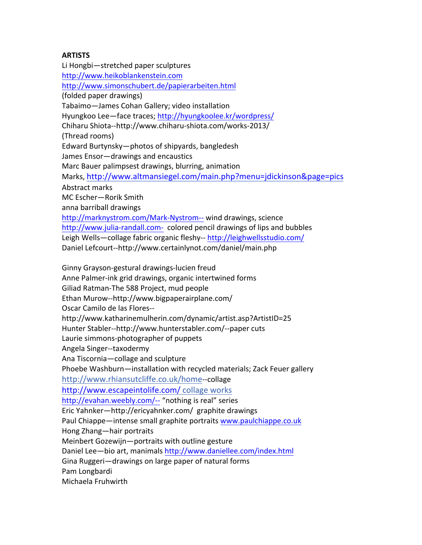## **ARTISTS**

Li Hongbi-stretched paper sculptures http://www.heikoblankenstein.com http://www.simonschubert.de/papierarbeiten.html (folded paper drawings) Tabaimo-James Cohan Gallery; video installation Hyungkoo Lee—face traces; http://hyungkoolee.kr/wordpress/ Chiharu Shiota--http://www.chiharu-shiota.com/works-2013/ (Thread rooms) Edward Burtynsky—photos of shipyards, bangledesh James Ensor-drawings and encaustics Marc Bauer palimpsest drawings, blurring, animation Marks, http://www.altmansiegel.com/main.php?menu=jdickinson&page=pics Abstract marks MC Escher-Rorik Smith anna barriball drawings http://marknystrom.com/Mark-Nystrom-- wind drawings, science http://www.julia-randall.com- colored pencil drawings of lips and bubbles Leigh Wells-collage fabric organic fleshy-- http://leighwellsstudio.com/ Daniel Lefcourt--http://www.certainlynot.com/daniel/main.php Ginny Grayson-gestural drawings-lucien freud Anne Palmer-ink grid drawings, organic intertwined forms Giliad Ratman-The 588 Project, mud people Ethan Murow--http://www.bigpaperairplane.com/ Oscar Camilo de las Flores--

http://www.katharinemulherin.com/dynamic/artist.asp?ArtistID=25

Hunter Stabler--http://www.hunterstabler.com/--paper cuts

Laurie simmons-photographer of puppets

Angela Singer--taxodermy

Ana Tiscornia—collage and sculpture

Phoebe Washburn—installation with recycled materials; Zack Feuer gallery

http://www.rhiansutcliffe.co.uk/home--collage

http://www.escapeintolife.com/ collage works

http://evahan.weebly.com/-- "nothing is real" series

Eric Yahnker-http://ericyahnker.com/ graphite drawings

Paul Chiappe—intense small graphite portraits www.paulchiappe.co.uk

Hong Zhang-hair portraits

Meinbert Gozewijn-portraits with outline gesture

Daniel Lee-bio art, manimals http://www.daniellee.com/index.html

Gina Ruggeri-drawings on large paper of natural forms

Pam Longbardi

Michaela Fruhwirth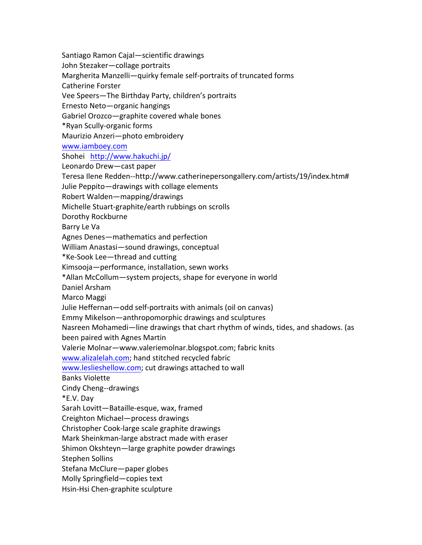Santiago Ramon Cajal—scientific drawings John Stezaker—collage portraits Margherita Manzelli-quirky female self-portraits of truncated forms Catherine Forster Vee Speers-The Birthday Party, children's portraits Ernesto Neto—organic hangings Gabriel Orozco-graphite covered whale bones \*Ryan Scully-organic forms Maurizio Anzeri-photo embroidery www.iamboey.com Shohei http://www.hakuchi.jp/ Leonardo Drew-cast paper Teresa Ilene Redden--http://www.catherinepersongallery.com/artists/19/index.htm# Julie Peppito—drawings with collage elements Robert Walden—mapping/drawings Michelle Stuart-graphite/earth rubbings on scrolls Dorothy Rockburne Barry Le Va Agnes Denes—mathematics and perfection William Anastasi-sound drawings, conceptual \*Ke-Sook Lee—thread and cutting Kimsooja—performance, installation, sewn works \*Allan McCollum—system projects, shape for everyone in world Daniel Arsham Marco Maggi Julie Heffernan—odd self-portraits with animals (oil on canvas) Emmy Mikelson—anthropomorphic drawings and sculptures Nasreen Mohamedi—line drawings that chart rhythm of winds, tides, and shadows. (as been paired with Agnes Martin Valerie Molnar—www.valeriemolnar.blogspot.com; fabric knits www.alizalelah.com; hand stitched recycled fabric www.leslieshellow.com; cut drawings attached to wall Banks Violette Cindy Cheng--drawings \*E.V. Day Sarah Lovitt-Bataille-esque, wax, framed Creighton Michael—process drawings Christopher Cook-large scale graphite drawings Mark Sheinkman-large abstract made with eraser Shimon Okshteyn—large graphite powder drawings Stephen Sollins Stefana McClure—paper globes Molly Springfield—copies text Hsin-Hsi Chen-graphite sculpture